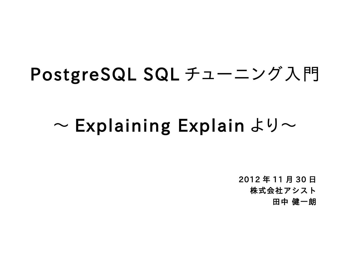# PostgreSQL SQL チューニング入門

# $\sim$  Explaining Explain より $\sim$

2012 年 11 月 30 日 株式会社アシスト 田中 健一朗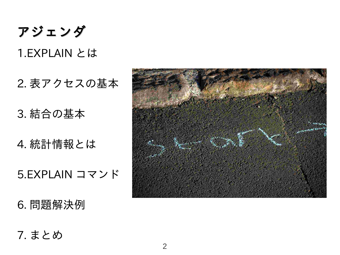アジェンダ

2. 表アクセスの基本

3. 結合の基本

4. 統計情報とは

5.EXPLAIN コマンド

6. 問題解決例

7. まとめ

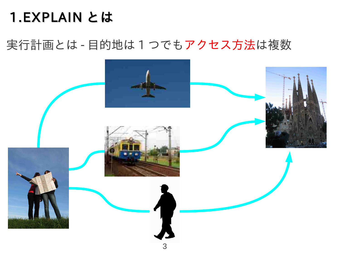#### 実行計画とは - 目的地は1つでもアクセス方法は複数

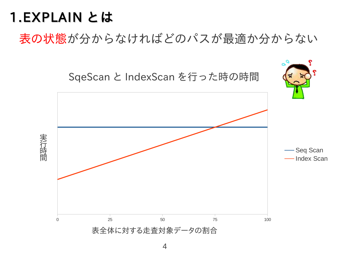表の状態が分からなければどのパスが最適か分からない

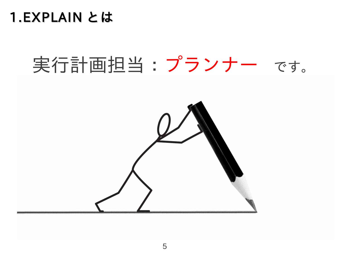

# 実行計画担当:プランナー です。

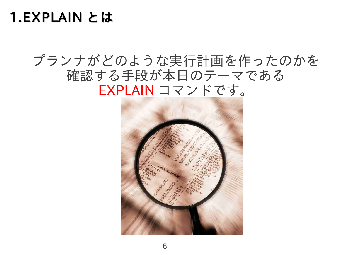#### プランナがどのような実行計画を作ったのかを 確認する手段が本日のテーマである EXPLAIN コマンドです。

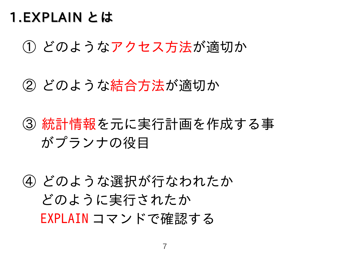① どのようなアクセス方法が適切か

② どのような結合方法が適切か

③ 統計情報を元に実行計画を作成する事 がプランナの役目

④ どのような選択が行なわれたか どのように実行されたか EXPLAIN コマンドで確認する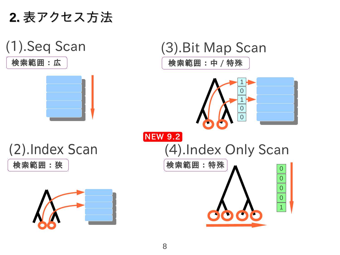**2.** 表アクセス方法





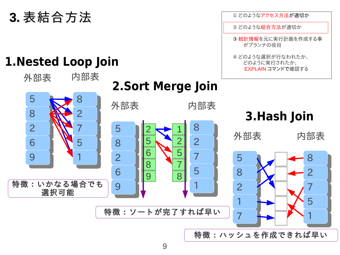### **3.** 表結合方法

#### **1.Nested Loop Join**

#### $\frac{5}{1}$   $\ddot{\phantom{0}}$   $\overline{)}$   $\overline{\phantom{0}}$   $\frac{5}{2}$   $\overline{a}$  )<br>— 外部表 5<br>—  $\ddot{\phantom{0}}$   $\overline{)}$   $\overline{\phantom{0}}$   $\frac{5}{1}$   $\overline{)}$  )<br>—  $\overline{)}$   $\frac{1}{2}$   $\ddot{\phantom{0}}$   $\overline{\phantom{0}}$   $\overline{)}$  内部表 外部表 内部表 外部表 内部表 **2.Sort Merge Join 3.Hash Join** 特徴:いかなる場合でも 選択可能 特徴:ソートが完了すれば早い 特徴:ハッシュを作成できれば早い

① どのようなアクセス方法が適切か

どのような結合方法が適切か

 統計情報を元に実行計画を作成する事 がプランナの役目

 どのような選択が行なわれたか、 どのように実行されたか、 EXPLAIN コマンドで確認する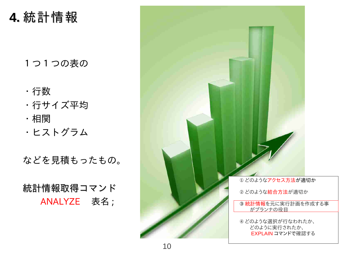#### **4.** 統計情報

#### 1つ1つの表の

- ・行数
- ・行サイズ平均
- ・相関
- ・ヒストグラム

などを見積もったもの。

統計情報取得コマンド ANALYZE 表名 ;

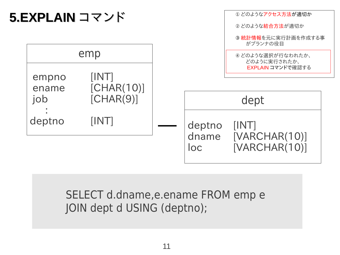

#### SELECT d.dname,e.ename FROM emp e JOIN dept d USING (deptno);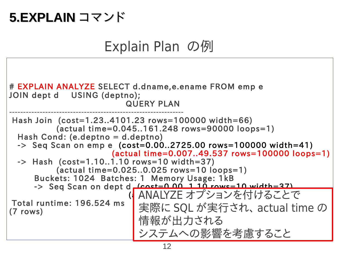#### **5.EXPLAIN** コマンド

### Explain Plan の例

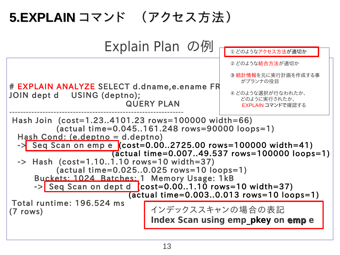## **5.EXPLAIN** コマンド (アクセス方法)

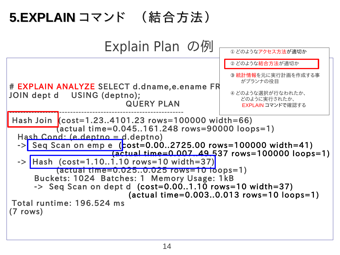## **5.EXPLAIN** コマンド (結合方法)

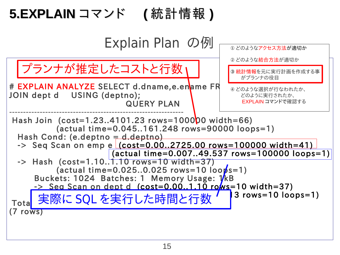## **5.EXPLAIN** コマンド **(** 統計情報 **)**

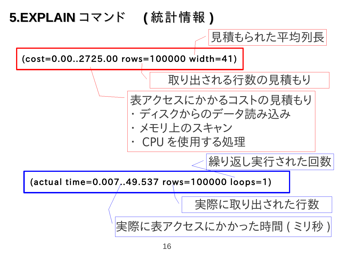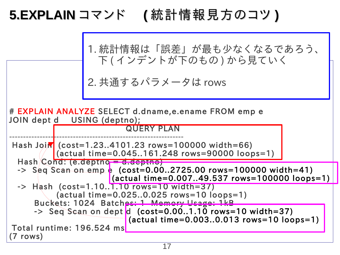## **5.EXPLAIN** コマンド **(** 統計情報見方のコツ **)**

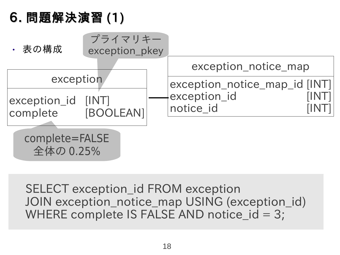

SELECT exception\_id FROM exception JOIN exception notice map USING (exception id) WHERE complete IS FALSE AND notice\_id = 3;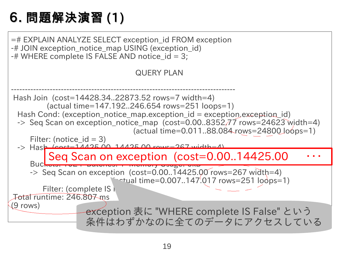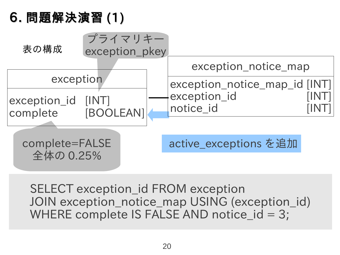

SELECT exception\_id FROM exception JOIN exception notice map USING (exception id) WHERE complete IS FALSE AND notice  $id = 3$ ;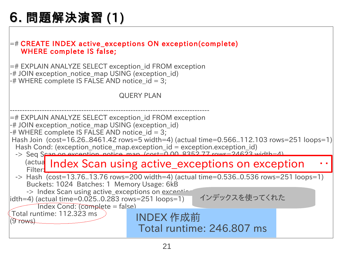$=$ # CREATE INDEX active exceptions ON exception(complete) WHERE complete IS false;

 $=$  # EXPLAIN ANALYZE SELECT exception id FROM exception -# JOIN exception notice map USING (exception id) -# WHERE complete IS FALSE AND notice\_id = 3;

#### QUERY PLAN

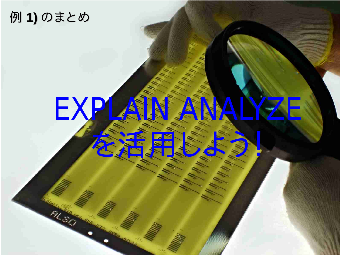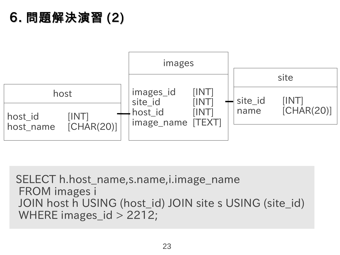

SELECT h.host\_name,s.name,i.image\_name FROM images i JOIN host h USING (host\_id) JOIN site s USING (site\_id) WHERE images  $id > 2212$ ;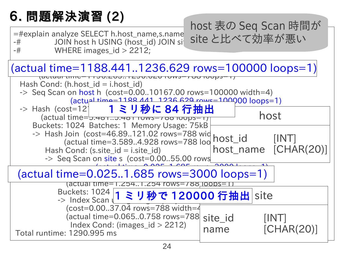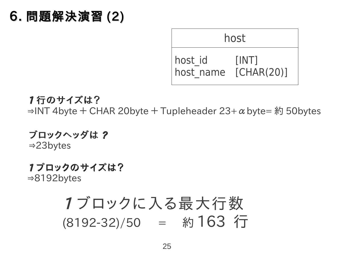

1 行のサイズは?  $\Rightarrow$  INT 4byte + CHAR 20byte + Tupleheader 23+ α byte= 約 50bytes

ブロックヘッダは ? ⇒23bytes

1 ブロックのサイズは? ⇒8192bytes

## 1 ブロックに入る最大行数 (8192-32)/50 = 約 163 行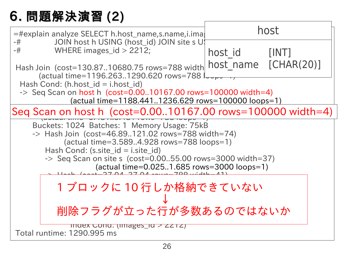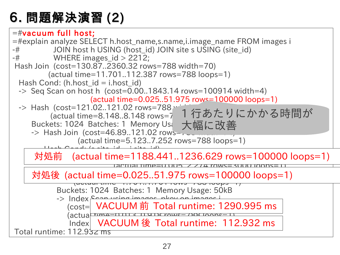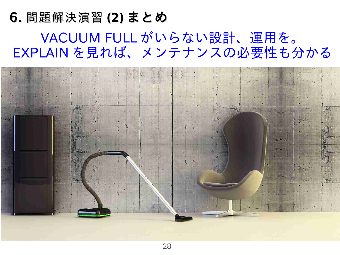## 6. 問題解決演習 **(2)** まとめ VACUUM FULL がいらない設計、運用を。 EXPLAIN を見れば、メンテナンスの必要性も分かる

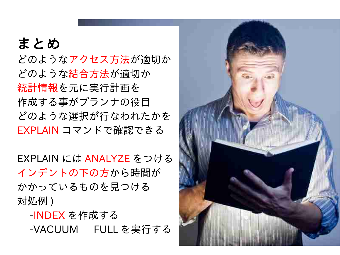#### $\begin{array}{c|c|c|c|c|c|c} \hline \multicolumn{3}{c|}{\textbf{1}} & \multicolumn{3}{c|}{\textbf{2}} & \multicolumn{3}{c|}{\textbf{3}} & \multicolumn{3}{c|}{\textbf{4}} & \multicolumn{3}{c|}{\textbf{5}} \\ \hline \multicolumn{3}{c|}{\textbf{1}} & \multicolumn{3}{c|}{\textbf{2}} & \multicolumn{3}{c|}{\textbf{3}} & \multicolumn{3}{c|}{\textbf{4}} & \multicolumn{3}{c|}{\textbf{5}} \\ \hline \multicolumn{3}{c|}{\textbf{1}} & \multicolumn{$ まとめ どのようなアクセス方法が適切か どのような結合方法が適切か 統計情報を元に実行計画を 作成する事がプランナの役目 どのような選択が行なわれたかを EXPLAIN コマンドで確認できる

EXPLAIN には ANALYZE をつける インデントの下の方から時間が かかっているものを見つける 対処例 )

-INDEX を作成する -VACUUM FULL を実行する

29